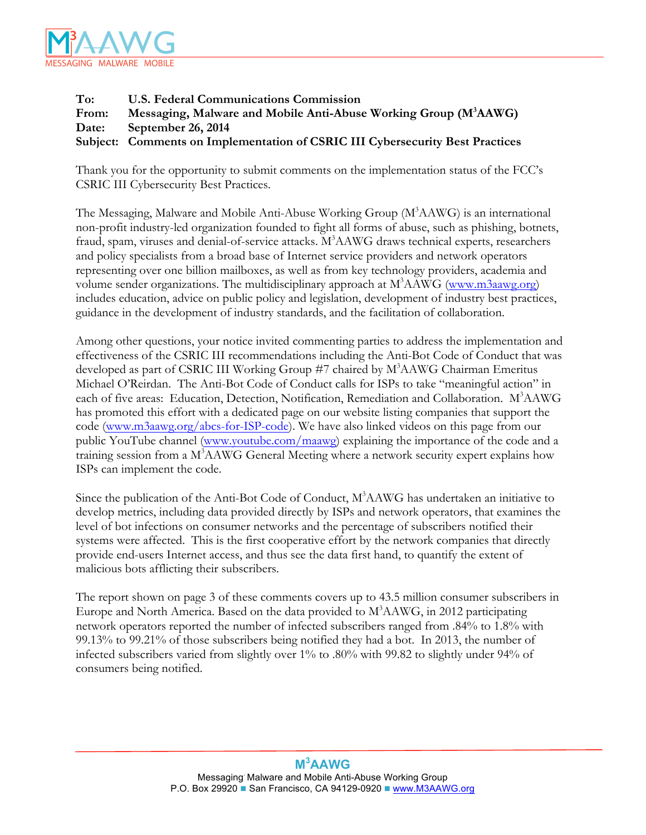

## **To: U.S. Federal Communications Commission** From: Messaging, Malware and Mobile Anti-Abuse Working Group (M<sup>3</sup>AAWG) **Date: September 26, 2014 Subject: Comments on Implementation of CSRIC III Cybersecurity Best Practices**

Thank you for the opportunity to submit comments on the implementation status of the FCC's CSRIC III Cybersecurity Best Practices.

The Messaging, Malware and Mobile Anti-Abuse Working Group (M<sup>3</sup>AAWG) is an international non-profit industry-led organization founded to fight all forms of abuse, such as phishing, botnets, fraud, spam, viruses and denial-of-service attacks. M<sup>3</sup>AAWG draws technical experts, researchers and policy specialists from a broad base of Internet service providers and network operators representing over one billion mailboxes, as well as from key technology providers, academia and volume sender organizations. The multidisciplinary approach at M<sup>3</sup>AAWG (www.m3aawg.org) includes education, advice on public policy and legislation, development of industry best practices, guidance in the development of industry standards, and the facilitation of collaboration.

Among other questions, your notice invited commenting parties to address the implementation and effectiveness of the CSRIC III recommendations including the Anti-Bot Code of Conduct that was developed as part of CSRIC III Working Group #7 chaired by M3 AAWG Chairman Emeritus Michael O'Reirdan. The Anti-Bot Code of Conduct calls for ISPs to take "meaningful action" in each of five areas: Education, Detection, Notification, Remediation and Collaboration. M<sup>3</sup>AAWG has promoted this effort with a dedicated page on our website listing companies that support the code (www.m3aawg.org/abcs-for-ISP-code). We have also linked videos on this page from our public YouTube channel (www.youtube.com/maawg) explaining the importance of the code and a training session from a M<sup>3</sup>AAWG General Meeting where a network security expert explains how ISPs can implement the code.

Since the publication of the Anti-Bot Code of Conduct, M<sup>3</sup>AAWG has undertaken an initiative to develop metrics, including data provided directly by ISPs and network operators, that examines the level of bot infections on consumer networks and the percentage of subscribers notified their systems were affected. This is the first cooperative effort by the network companies that directly provide end-users Internet access, and thus see the data first hand, to quantify the extent of malicious bots afflicting their subscribers.

The report shown on page 3 of these comments covers up to 43.5 million consumer subscribers in Europe and North America. Based on the data provided to M<sup>3</sup>AAWG, in 2012 participating network operators reported the number of infected subscribers ranged from .84% to 1.8% with 99.13% to 99.21% of those subscribers being notified they had a bot. In 2013, the number of infected subscribers varied from slightly over 1% to .80% with 99.82 to slightly under 94% of consumers being notified.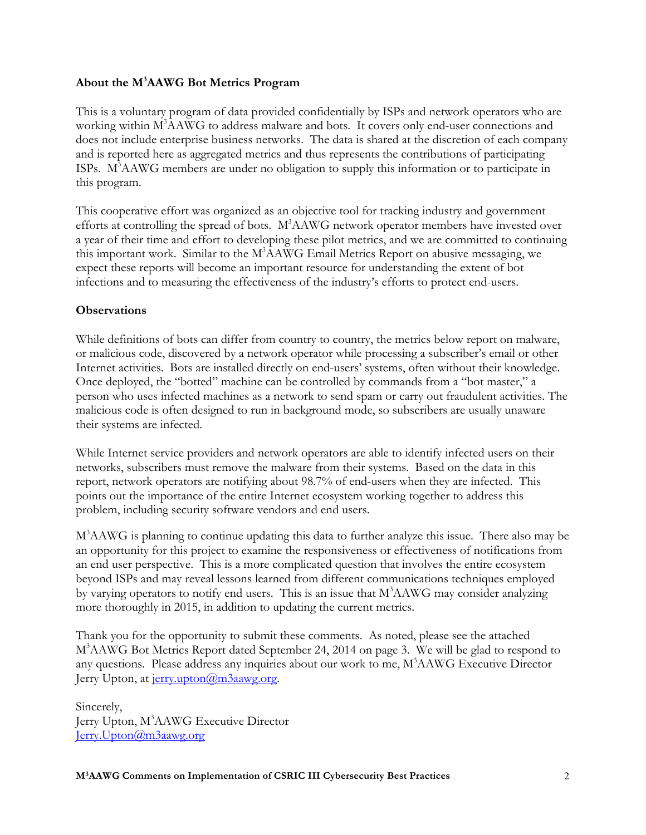## **About the M3 AAWG Bot Metrics Program**

This is a voluntary program of data provided confidentially by ISPs and network operators who are working within M<sup>3</sup>AAWG to address malware and bots. It covers only end-user connections and does not include enterprise business networks. The data is shared at the discretion of each company and is reported here as aggregated metrics and thus represents the contributions of participating ISPs. M<sup>3</sup>AAWG members are under no obligation to supply this information or to participate in this program.

This cooperative effort was organized as an objective tool for tracking industry and government efforts at controlling the spread of bots. M<sup>3</sup>AAWG network operator members have invested over a year of their time and effort to developing these pilot metrics, and we are committed to continuing this important work. Similar to the M<sup>3</sup>AAWG Email Metrics Report on abusive messaging, we expect these reports will become an important resource for understanding the extent of bot infections and to measuring the effectiveness of the industry's efforts to protect end-users.

### **Observations**

While definitions of bots can differ from country to country, the metrics below report on malware, or malicious code, discovered by a network operator while processing a subscriber's email or other Internet activities. Bots are installed directly on end-users' systems, often without their knowledge. Once deployed, the "botted" machine can be controlled by commands from a "bot master," a person who uses infected machines as a network to send spam or carry out fraudulent activities. The malicious code is often designed to run in background mode, so subscribers are usually unaware their systems are infected.

While Internet service providers and network operators are able to identify infected users on their networks, subscribers must remove the malware from their systems. Based on the data in this report, network operators are notifying about 98.7% of end-users when they are infected. This points out the importance of the entire Internet ecosystem working together to address this problem, including security software vendors and end users.

M3 AAWG is planning to continue updating this data to further analyze this issue. There also may be an opportunity for this project to examine the responsiveness or effectiveness of notifications from an end user perspective. This is a more complicated question that involves the entire ecosystem beyond ISPs and may reveal lessons learned from different communications techniques employed by varying operators to notify end users. This is an issue that M<sup>3</sup>AAWG may consider analyzing more thoroughly in 2015, in addition to updating the current metrics.

Thank you for the opportunity to submit these comments. As noted, please see the attached M3 AAWG Bot Metrics Report dated September 24, 2014 on page 3. We will be glad to respond to any questions. Please address any inquiries about our work to me, M<sup>3</sup>AAWG Executive Director Jerry Upton, at jerry.upton@m3aawg.org.

Sincerely, Jerry Upton, M<sup>3</sup>AAWG Executive Director Jerry.Upton@m3aawg.org